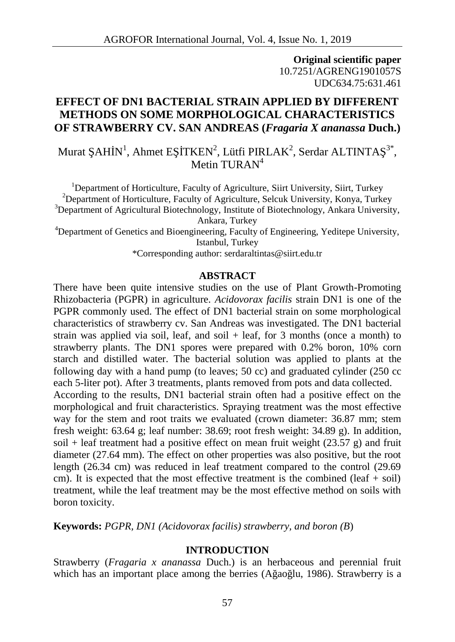**Original scientific paper** 10.7251/AGRENG1901057S UDC634.75:631.461

# **EFFECT OF DN1 BACTERIAL STRAIN APPLIED BY DIFFERENT METHODS ON SOME MORPHOLOGICAL CHARACTERISTICS OF STRAWBERRY CV. SAN ANDREAS (***Fragaria X ananassa* **Duch.)**

Murat AH  $N^1$ , Ahmet E TKEN<sup>2</sup>, Lütfi PIRLAK<sup>2</sup>, Serdar ALTINTA<sup>3\*</sup>, , Metin THRAN<sup>4</sup>

<sup>1</sup>Department of Horticulture, Faculty of Agriculture, Siirt University, Siirt, Turkey <sup>2</sup>Department of Horticulture, Faculty of Agriculture, Selcuk University, Konya, Turkey  $3$ Department of Agricultural Biotechnology, Institute of Biotechnology, Ankara University, Ankara, Turkey <sup>4</sup>Department of Genetics and Bioengineering, Faculty of Engineering, Yeditepe University,

Istanbul, Turkey

\*Corresponding author: serdaraltintas@siirt.edu.tr

### **ABSTRACT**

There have been quite intensive studies on the use of Plant Growth-Promoting Rhizobacteria (PGPR) in agriculture. *Acidovorax facilis* strain DN1 is one of the PGPR commonly used. The effect of DN1 bacterial strain on some morphological characteristics of strawberry cv. San Andreas was investigated. The DN1 bacterial strain was applied via soil, leaf, and soil  $+$  leaf, for 3 months (once a month) to strawberry plants. The DN1 spores were prepared with 0.2% boron, 10% corn starch and distilled water. The bacterial solution was applied to plants at the following day with a hand pump (to leaves; 50 cc) and graduated cylinder (250 cc each 5-liter pot). After 3 treatments, plants removed from pots and data collected.

According to the results, DN1 bacterial strain often had a positive effect on the morphological and fruit characteristics. Spraying treatment was the most effective way for the stem and root traits we evaluated (crown diameter: 36.87 mm; stem fresh weight: 63.64 g; leaf number: 38.69; root fresh weight: 34.89 g). In addition, soil + leaf treatment had a positive effect on mean fruit weight  $(23.57 \text{ g})$  and fruit diameter (27.64 mm). The effect on other properties was also positive, but the root length (26.34 cm) was reduced in leaf treatment compared to the control (29.69 cm). It is expected that the most effective treatment is the combined (leaf  $+$  soil) treatment, while the leaf treatment may be the most effective method on soils with boron toxicity.

**Keywords:** *PGPR, DN1 (Acidovorax facilis) strawberry, and boron (B*)

### **INTRODUCTION**

Strawberry (*Fragaria x ananassa* Duch.) is an herbaceous and perennial fruit which has an important place among the berries  $(A \text{ ao } lu, 1986)$ . Strawberry is a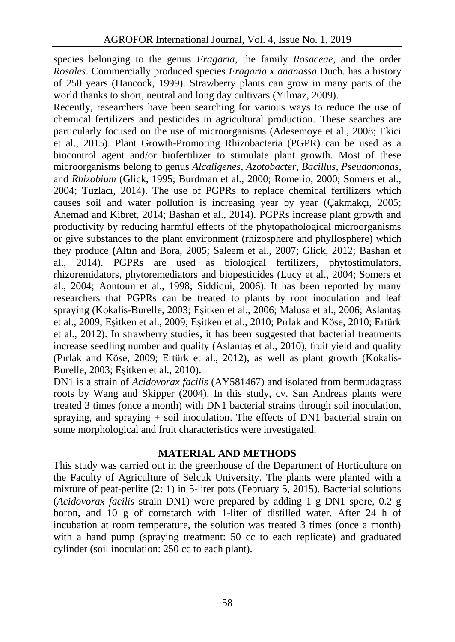species belonging to the genus *Fragaria*, the family *Rosaceae*, and the order *Rosales*. Commercially produced species *Fragaria x ananassa* Duch. has a history of 250 years (Hancock, 1999). Strawberry plants can grow in many parts of the world thanks to short, neutral and long day cultivars (Yılmaz, 2009).

Recently, researchers have been searching for various ways to reduce the use of chemical fertilizers and pesticides in agricultural production. These searches are particularly focused on the use of microorganisms (Adesemoye et al., 2008; Ekici et al., 2015). Plant Growth-Promoting Rhizobacteria (PGPR) can be used as a biocontrol agent and/or biofertilizer to stimulate plant growth. Most of these microorganisms belong to genus *Alcaligenes*, *Azotobacter*, *Bacillus*, *Pseudomonas*, and *Rhizobium* (Glick, 1995; Burdman et al., 2000; Romerio, 2000; Somers et al., 2004; Tuzlacı, 2014). The use of PGPRs to replace chemical fertilizers which causes soil and water pollution is increasing year by year (Çakmakçı, 2005; Ahemad and Kibret, 2014; Bashan et al., 2014). PGPRs increase plant growth and productivity by reducing harmful effects of the phytopathological microorganisms or give substances to the plant environment (rhizosphere and phyllosphere) which they produce **(**Altın and Bora, 2005; Saleem et al., 2007; Glick, 2012; Bashan et al., 2014). PGPRs are used as biological fertilizers, phytostimulators, rhizoremidators, phytoremediators and biopesticides (Lucy et al., 2004; Somers et al., 2004; Aontoun et al., 1998; Siddiqui, 2006). It has been reported by many researchers that PGPRs can be treated to plants by root inoculation and leaf spraying (Kokalis-Burelle, 2003; E itken et al., 2006; Malusa et al., 2006; Aslanta et al.,  $2009$ ; E itken et al.,  $2009$ ; E itken et al.,  $2010$ ; Pırlak and Köse,  $2010$ ; Ertürk et al., 2012). In strawberry studies, it has been suggested that bacterial treatments increase seedling number and quality (Aslanta et al., 2010), fruit yield and quality (Pırlak and Köse, 2009; Ertürk et al., 2012), as well as plant growth (Kokalis- Burelle, 2003; E itken et al., 2010).

DN1 is a strain of *Acidovorax facilis* (AY581467) and isolated from bermudagrass roots by Wang and Skipper (2004). In this study, cv. San Andreas plants were treated 3 times (once a month) with DN1 bacterial strains through soil inoculation, spraying, and spraying  $+$  soil inoculation. The effects of DN1 bacterial strain on some morphological and fruit characteristics were investigated.

## **MATERIAL AND METHODS**

This study was carried out in the greenhouse of the Department of Horticulture on the Faculty of Agriculture of Selcuk University. The plants were planted with a mixture of peat-perlite (2: 1) in 5-liter pots (February 5, 2015). Bacterial solutions (*Acidovorax facilis* strain DN1) were prepared by adding 1 g DN1 spore, 0.2 g boron, and 10 g of cornstarch with 1-liter of distilled water. After 24 h of incubation at room temperature, the solution was treated 3 times (once a month) with a hand pump (spraying treatment: 50 cc to each replicate) and graduated cylinder (soil inoculation: 250 cc to each plant).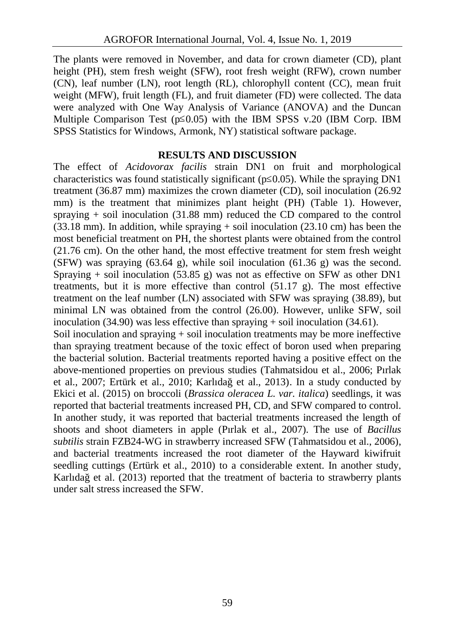The plants were removed in November, and data for crown diameter (CD), plant height (PH), stem fresh weight (SFW), root fresh weight (RFW), crown number (CN), leaf number (LN), root length (RL), chlorophyll content (CC), mean fruit weight (MFW), fruit length (FL), and fruit diameter (FD) were collected. The data were analyzed with One Way Analysis of Variance (ANOVA) and the Duncan Multiple Comparison Test (p 0.05) with the IBM SPSS v.20 (IBM Corp. IBM SPSS Statistics for Windows, Armonk, NY) statistical software package.

### **RESULTS AND DISCUSSION**

The effect of *Acidovorax facilis* strain DN1 on fruit and morphological characteristics was found statistically significant (p 0.05). While the spraying DN1 treatment (36.87 mm) maximizes the crown diameter (CD), soil inoculation (26.92 mm) is the treatment that minimizes plant height (PH) (Table 1). However, spraying + soil inoculation (31.88 mm) reduced the CD compared to the control  $(33.18 \text{ mm})$ . In addition, while spraying  $+$  soil inoculation  $(23.10 \text{ cm})$  has been the most beneficial treatment on PH, the shortest plants were obtained from the control (21.76 cm). On the other hand, the most effective treatment for stem fresh weight (SFW) was spraying  $(63.64 \text{ g})$ , while soil inoculation  $(61.36 \text{ g})$  was the second. Spraying  $+$  soil inoculation (53.85 g) was not as effective on SFW as other DN1 treatments, but it is more effective than control  $(51.17 \text{ g})$ . The most effective treatment on the leaf number (LN) associated with SFW was spraying (38.89), but minimal LN was obtained from the control (26.00). However, unlike SFW, soil inoculation (34.90) was less effective than spraying  $+$  soil inoculation (34.61).

Soil inoculation and spraying + soil inoculation treatments may be more ineffective than spraying treatment because of the toxic effect of boron used when preparing the bacterial solution. Bacterial treatments reported having a positive effect on the above-mentioned properties on previous studies (Tahmatsidou et al., 2006; Pırlak et al., 2007; Ertürk et al., 2010; Karlıdağ et al., 2013). In a study conducted by Ekici et al. (2015) on broccoli (*Brassica oleracea L. var. italica*) seedlings, it was reported that bacterial treatments increased PH, CD, and SFW compared to control. In another study, it was reported that bacterial treatments increased the length of shoots and shoot diameters in apple (Pırlak et al., 2007). The use of *Bacillus subtilis* strain FZB24-WG in strawberry increased SFW (Tahmatsidou et al., 2006), and bacterial treatments increased the root diameter of the Hayward kiwifruit seedling cuttings (Ertürk et al., 2010) to a considerable extent. In another study, Karlıda et al. (2013) reported that the treatment of bacteria to strawberry plants under salt stress increased the SFW.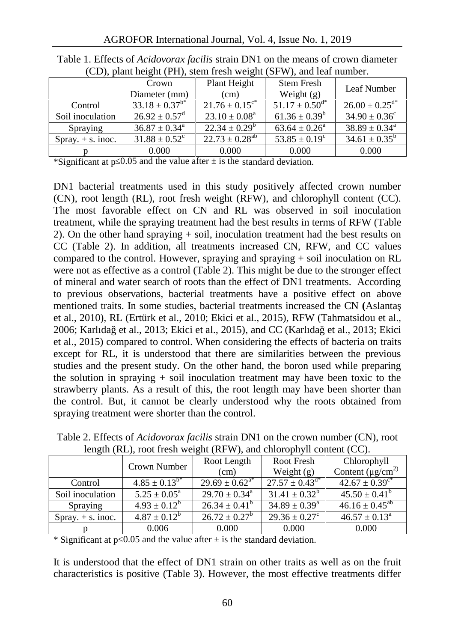| $\sim$ $\sim$       |                                |                                |                                |                                   |
|---------------------|--------------------------------|--------------------------------|--------------------------------|-----------------------------------|
|                     | Crown                          | Plant Height                   | <b>Stem Fresh</b>              | Leaf Number                       |
|                     | Diameter (mm)                  | (cm)                           | Weight $(g)$                   |                                   |
| Control             | $33.18 \pm 0.37$ <sup>b*</sup> | $21.76 \pm 0.15$ <sup>c*</sup> | $51.17 \pm 0.50$ <sup>d*</sup> | $26.00 \pm 0.25^{\overline{d^*}}$ |
| Soil inoculation    | $26.92 \pm 0.57^{\rm d}$       | $23.10 \pm 0.08^a$             | $61.36 \pm 0.39^b$             | $34.90 \pm 0.36^{\circ}$          |
| Spraying            | $36.87 \pm 0.34^{\circ}$       | $22.34 \pm 0.29^b$             | $63.64 \pm 0.26^a$             | $38.89 \pm 0.34^{\circ}$          |
| Spray. $+$ s. inoc. | $31.88 \pm 0.52$ <sup>c</sup>  | $22.73 \pm 0.28^{ab}$          | $53.85 \pm 0.19^c$             | $34.61 \pm 0.35^b$                |
|                     | 0.000                          | 0.000                          | 0.000                          | 0.000                             |

Table 1. Effects of *Acidovorax facilis* strain DN1 on the means of crown diameter (CD), plant height (PH), stem fresh weight (SFW), and leaf number.

\*Significant at p 0.05 and the value after  $\pm$  is the standard deviation.

DN1 bacterial treatments used in this study positively affected crown number (CN), root length (RL), root fresh weight (RFW), and chlorophyll content (CC). The most favorable effect on CN and RL was observed in soil inoculation treatment, while the spraying treatment had the best results in terms of RFW (Table 2). On the other hand spraying + soil, inoculation treatment had the best results on CC (Table 2). In addition, all treatments increased CN, RFW, and CC values compared to the control. However, spraying and spraying  $+$  soil inoculation on RL were not as effective as a control (Table 2). This might be due to the stronger effect of mineral and water search of roots than the effect of DN1 treatments. According to previous observations, bacterial treatments have a positive effect on above mentioned traits. In some studies, bacterial treatments increased the CN **(**Aslantaş et al., 2010), RL (Ertürk et al., 2010; Ekici et al., 2015), RFW (Tahmatsidou et al., 2006; Karlıdağ et al., 2013; Ekici et al., 2015), and CC (Karlıdağ et al., 2013; Ekici et al., 2015) compared to control. When considering the effects of bacteria on traits except for RL, it is understood that there are similarities between the previous studies and the present study. On the other hand, the boron used while preparing the solution in spraying + soil inoculation treatment may have been toxic to the strawberry plants. As a result of this, the root length may have been shorter than the control. But, it cannot be clearly understood why the roots obtained from spraying treatment were shorter than the control.

|                     | Crown Number               | Root Length                  | Root Fresh                     | Chlorophyll                    |
|---------------------|----------------------------|------------------------------|--------------------------------|--------------------------------|
|                     |                            | (cm)                         | Weight $(g)$                   | Content $(\mu g/cm^2)$         |
| Control             | $4.85 \pm 0.13^{b*}$       | $29.69 \pm 0.62^{\text{a*}}$ | $27.57 \pm 0.43$ <sup>d*</sup> | $42.67 \pm 0.39$ <sup>c*</sup> |
| Soil inoculation    | $5.25 \pm 0.05^{\text{a}}$ | $29.70 \pm 0.34^{\text{a}}$  | $31.41 \pm 0.32^b$             | $45.50 \pm 0.41^{\rm b}$       |
| Spraying            | $4.93 \pm 0.12^b$          | $26.34 \pm 0.41^b$           | $34.89 \pm 0.39^{\text{a}}$    | $46.16 \pm 0.45^{ab}$          |
| Spray. $+$ s. inoc. | $4.87 \pm 0.12^b$          | $26.72 \pm 0.27^b$           | $29.36 \pm 0.27^{\circ}$       | $46.57 \pm 0.13^{\circ}$       |
|                     | 0.006                      | 0.000                        | 0.000                          | 0.000                          |

Table 2. Effects of *Acidovorax facilis* strain DN1 on the crown number (CN), root length (RL), root fresh weight (RFW), and chlorophyll content (CC).

\* Significant at p 0.05 and the value after  $\pm$  is the standard deviation.

It is understood that the effect of DN1 strain on other traits as well as on the fruit characteristics is positive (Table 3). However, the most effective treatments differ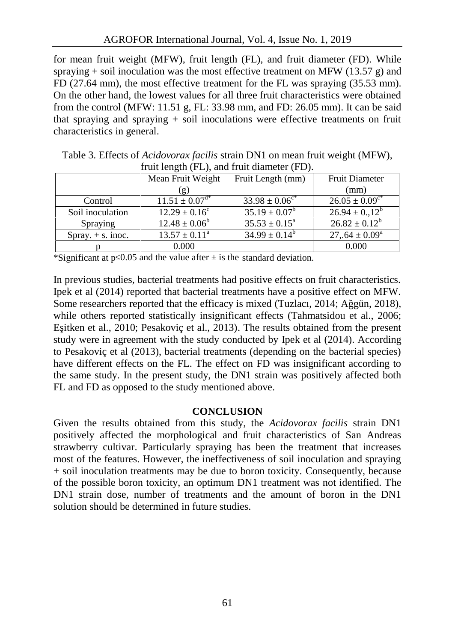for mean fruit weight (MFW), fruit length (FL), and fruit diameter (FD). While spraying + soil inoculation was the most effective treatment on MFW (13.57 g) and FD (27.64 mm), the most effective treatment for the FL was spraying (35.53 mm). On the other hand, the lowest values for all three fruit characteristics were obtained from the control (MFW: 11.51 g, FL: 33.98 mm, and FD: 26.05 mm). It can be said that spraying and spraying  $+$  soil inoculations were effective treatments on fruit characteristics in general.

|                     | $r$ fruit length $rL$ ), and fruit diameter $rD$ ).<br>Mean Fruit Weight | Fruit Length (mm)           | <b>Fruit Diameter</b>          |
|---------------------|--------------------------------------------------------------------------|-----------------------------|--------------------------------|
|                     | ՝ ք )                                                                    |                             | (mm)                           |
| Control             | $11.51 \pm 0.07$ <sup>d*</sup>                                           | $33.98 \pm 0.06^{\circ*}$   | $26.05 \pm 0.09$ <sup>c*</sup> |
| Soil inoculation    | $12.29 \pm 0.16^{\circ}$                                                 | $35.19 \pm 0.07^b$          | $26.94 \pm 0.12^b$             |
| Spraying            | $12.48 \pm 0.06^b$                                                       | $35.53 \pm 0.15^{\text{a}}$ | $26.82 \pm 0.12^b$             |
| Spray. $+$ s. inoc. | $13.57 \pm 0.11^{\text{a}}$                                              | $34.99 \pm 0.14^b$          | $27,64 \pm 0.09^{\circ}$       |
|                     | 0.000                                                                    |                             | 0.000                          |

Table 3. Effects of *Acidovorax facilis* strain DN1 on mean fruit weight (MFW), fruit length (FL), and fruit diameter (FD).

\*Significant at p 0.05 and the value after  $\pm$  is the standard deviation.

In previous studies, bacterial treatments had positive effects on fruit characteristics. Ipek et al (2014) reported that bacterial treatments have a positive effect on MFW. Some researchers reported that the efficacy is mixed (Tuzlaci, 2014; A gün, 2018), while others reported statistically insignificant effects (Tahmatsidou et al., 2006; E itken et al.,  $2010$ ; Pesakovic et al.,  $2013$ ). The results obtained from the present study were in agreement with the study conducted by Ipek et al (2014). According to Pesakoviç et al (2013), bacterial treatments (depending on the bacterial species) have different effects on the FL. The effect on FD was insignificant according to the same study. In the present study, the DN1 strain was positively affected both FL and FD as opposed to the study mentioned above.

### **CONCLUSION**

Given the results obtained from this study, the *Acidovorax facilis* strain DN1 positively affected the morphological and fruit characteristics of San Andreas strawberry cultivar. Particularly spraying has been the treatment that increases most of the features. However, the ineffectiveness of soil inoculation and spraying + soil inoculation treatments may be due to boron toxicity. Consequently, because of the possible boron toxicity, an optimum DN1 treatment was not identified. The DN1 strain dose, number of treatments and the amount of boron in the DN1 solution should be determined in future studies.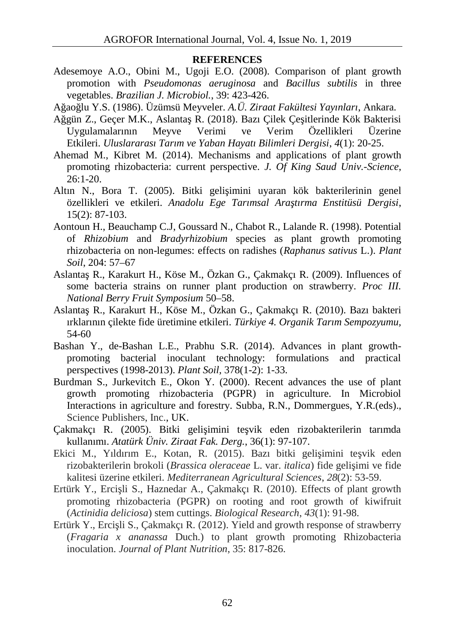#### **REFERENCES**

- Adesemoye A.O., Obini M., Ugoji E.O. (2008). Comparison of plant growth promotion with *Pseudomonas aeruginosa* and *Bacillus subtilis* in three vegetables. *Brazilian J. Microbiol.*, 39: 423-426.
- Ağaoğlu Y.S. (1986). Üzümsü Meyveler. *A.Ü. Ziraat Fakültesi Yayınları*, Ankara.
- Ağgün Z., Geçer M.K., Aslanta R. (2018). Bazı Çilek Çe itlerinde Kök Bakterisi Uygulamalarının Meyve Verimi ve Verim Özellikleri Üzerine Etkileri. *Uluslararası Tarım ve Yaban Hayatı Bilimleri Dergisi*, *4*(1): 20-25.
- Ahemad M., Kibret M. (2014). Mechanisms and applications of plant growth promoting rhizobacteria: current perspective. *J. Of King Saud Univ.-Science*, 26:1-20.
- Altın N., Bora T. (2005). Bitki geli imini uyaran kök bakterilerinin genel özellikleri ve etkileri. *Anadolu Ege Tarımsal Araştırma Enstitüsü Dergisi*, 15(2): 87-103.
- Aontoun H., Beauchamp C.J, Goussard N., Chabot R., Lalande R. (1998). Potential of *Rhizobium* and *Bradyrhizobium* species as plant growth promoting rhizobacteria on non-legumes: effects on radishes (*Raphanus sativus* L.). *Plant Soil*, 204: 57–67
- Aslantaş R., Karakurt H., Köse M., Özkan G., Çakmakçı R. (2009). Influences of some bacteria strains on runner plant production on strawberry. *Proc III. National Berry Fruit Symposium* 50–58.
- Aslantaş R., Karakurt H., Köse M., Özkan G., Çakmakçı R. (2010). Bazı bakteri ırklarının çilekte fide üretimine etkileri. *Türkiye 4. Organik Tarım Sempozyumu,* 54-60
- Bashan Y., de-Bashan L.E., Prabhu S.R. (2014). Advances in plant growth promoting bacterial inoculant technology: formulations and practical perspectives (1998-2013). *Plant Soil,* 378(1-2): 1-33.
- Burdman S., Jurkevitch E., Okon Y. (2000). Recent advances the use of plant growth promoting rhizobacteria (PGPR) in agriculture. In Microbiol Interactions in agriculture and forestry. Subba, R.N., Dommergues, Y.R.(eds)., Science Publishers, Inc., UK.
- Cakmakçı R. (2005). Bitki geli imini te vik eden rizobakterilerin tarımda kullanımı. *Atatürk Üniv. Ziraat Fak. Derg.*, 36(1): 97-107.
- Ekici M., Yıldırım E., Kotan, R. (2015). Bazı bitki geli imini te vik eden rizobakterilerin brokoli (*Brassica oleraceae* L. var. *italica*) fide gelişimi ve fide kalitesi üzerine etkileri. *Mediterranean Agricultural Sciences*, *28*(2): 53-59.
- Ertürk Y., Erci li S., Haznedar A., Çakmakçı R. (2010). Effects of plant growth promoting rhizobacteria (PGPR) on rooting and root growth of kiwifruit (*Actinidia deliciosa*) stem cuttings. *Biological Research*, *43*(1): 91-98.
- Ertürk Y., Erci li S., Çakmakçı R. (2012). Yield and growth response of strawberry (*Fragaria x ananassa* Duch.) to plant growth promoting Rhizobacteria inoculation. *Journal of Plant Nutrition*, 35: 817-826.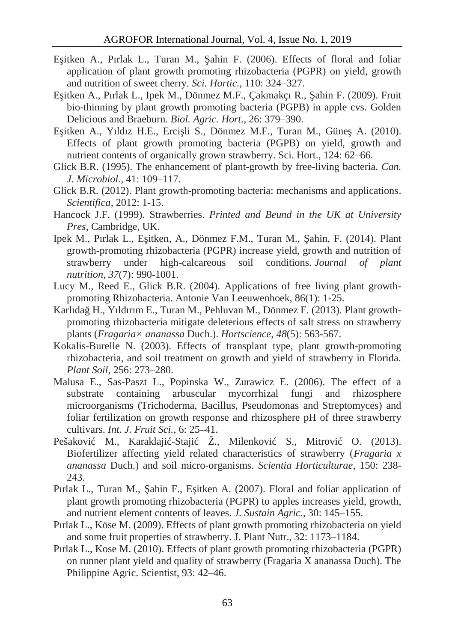- E itken A., Pırlak L., Turan M., ahin F. (2006). Effects of floral and foliar application of plant growth promoting rhizobacteria (PGPR) on yield, growth and nutrition of sweet cherry. *Sci. Hortic.,* 110: 324–327.
- E itken A., Pırlak L., Ipek M., Dönmez M.F., Cakmakçı R., ahin F. (2009). Fruit bio-thinning by plant growth promoting bacteria (PGPB) in apple cvs. Golden Delicious and Braeburn. *Biol. Agric. Hort.,* 26: 379–390.
- E itken A., Yıldız H.E., Erci li S., Dönmez M.F., Turan M., Güne A. (2010). Effects of plant growth promoting bacteria (PGPB) on yield, growth and nutrient contents of organically grown strawberry. Sci. Hort., 124: 62–66.
- Glick B.R. (1995). The enhancement of plant-growth by free-living bacteria. *Can. J. Microbiol.,* 41: 109–117.
- Glick B.R. (2012). Plant growth-promoting bacteria: mechanisms and applications. *Scientifica*, 2012: 1-15.
- Hancock J.F. (1999). Strawberries. *Printed and Beund in the UK at University Pres*, Cambridge, UK.
- Ipek M., Pırlak L., E itken, A., Dönmez F.M., Turan M., ahin, F. (2014). Plant growth-promoting rhizobacteria (PGPR) increase yield, growth and nutrition of strawberry under high-calcareous soil conditions. *Journal of plant nutrition*, *37*(7): 990-1001.
- Lucy M., Reed E., Glick B.R. (2004). Applications of free living plant growth promoting Rhizobacteria. Antonie Van Leeuwenhoek, 86(1): 1-25.
- Karlıdağ H., Yıldırım E., Turan M., Pehluvan M., Dönmez F. (2013). Plant growth promoting rhizobacteria mitigate deleterious effects of salt stress on strawberry plants (*Fragaria× ananassa* Duch.). *Hortscience*, *48*(5): 563-567.
- Kokalis-Burelle N. (2003). Effects of transplant type, plant growth-promoting rhizobacteria, and soil treatment on growth and yield of strawberry in Florida. *Plant Soil*, 256: 273–280.
- Malusa E., Sas-Paszt L., Popinska W., Zurawicz E. (2006). The effect of a substrate containing arbuscular mycorrhizal fungi and rhizosphere microorganisms (Trichoderma, Bacillus, Pseudomonas and Streptomyces) and foliar fertilization on growth response and rhizosphere pH of three strawberry cultivars. *Int. J. Fruit Sci.,* 6: 25–41.
- Pešakovi M., Karaklaji-Staji Ž., Milenkovi S., Mitrovi O. (2013). Biofertilizer affecting yield related characteristics of strawberry (*Fragaria x ananassa* Duch.) and soil micro-organisms. *Scientia Horticulturae*, 150: 238- 243.
- Pırlak L., Turan M.,  $\alpha$ ahin F., E itken A. (2007). Floral and foliar application of plant growth promoting rhizobacteria (PGPR) to apples increases yield, growth, and nutrient element contents of leaves. *J. Sustain Agric.,* 30: 145–155.
- Pırlak L., Köse M. (2009). Effects of plant growth promoting rhizobacteria on yield and some fruit properties of strawberry. J. Plant Nutr., 32: 1173–1184.
- Pırlak L., Kose M. (2010). Effects of plant growth promoting rhizobacteria (PGPR) on runner plant yield and quality of strawberry (Fragaria X ananassa Duch). The Philippine Agric. Scientist, 93: 42–46.